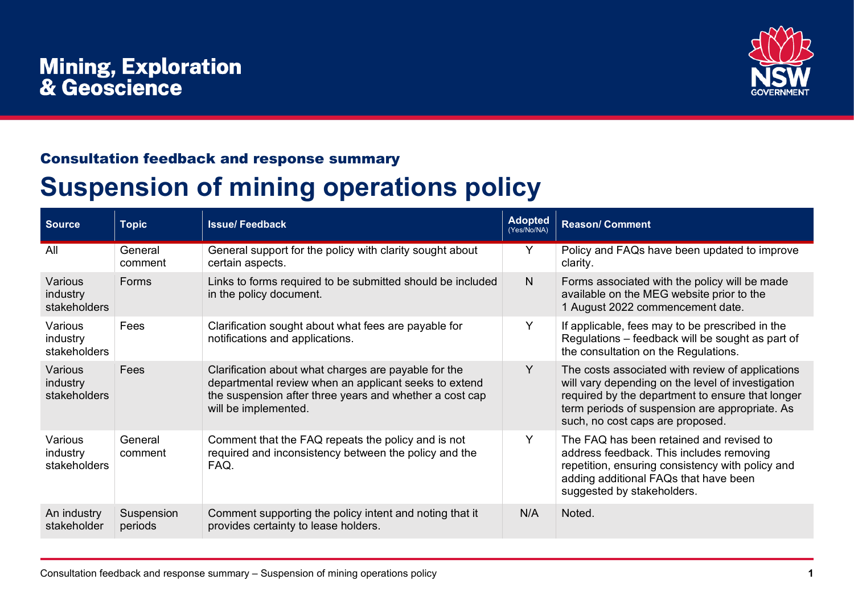

#### Consultation feedback and response summary

# **Suspension of mining operations policy**

| <b>Source</b>                              | <b>Topic</b>          | <b>Issue/Feedback</b>                                                                                                                                                                            | <b>Adopted</b><br>(Yes/No/NA) | <b>Reason/Comment</b>                                                                                                                                                                                                                           |
|--------------------------------------------|-----------------------|--------------------------------------------------------------------------------------------------------------------------------------------------------------------------------------------------|-------------------------------|-------------------------------------------------------------------------------------------------------------------------------------------------------------------------------------------------------------------------------------------------|
| All                                        | General<br>comment    | General support for the policy with clarity sought about<br>certain aspects.                                                                                                                     | Y                             | Policy and FAQs have been updated to improve<br>clarity.                                                                                                                                                                                        |
| Various<br>industry<br>stakeholders        | Forms                 | Links to forms required to be submitted should be included<br>in the policy document.                                                                                                            | N                             | Forms associated with the policy will be made<br>available on the MEG website prior to the<br>1 August 2022 commencement date.                                                                                                                  |
| Various<br>industry<br><b>stakeholders</b> | Fees                  | Clarification sought about what fees are payable for<br>notifications and applications.                                                                                                          | Y                             | If applicable, fees may to be prescribed in the<br>Regulations - feedback will be sought as part of<br>the consultation on the Regulations.                                                                                                     |
| Various<br>industry<br>stakeholders        | Fees                  | Clarification about what charges are payable for the<br>departmental review when an applicant seeks to extend<br>the suspension after three years and whether a cost cap<br>will be implemented. | Y                             | The costs associated with review of applications<br>will vary depending on the level of investigation<br>required by the department to ensure that longer<br>term periods of suspension are appropriate. As<br>such, no cost caps are proposed. |
| Various<br>industry<br>stakeholders        | General<br>comment    | Comment that the FAQ repeats the policy and is not<br>required and inconsistency between the policy and the<br>FAQ.                                                                              | Y                             | The FAQ has been retained and revised to<br>address feedback. This includes removing<br>repetition, ensuring consistency with policy and<br>adding additional FAQs that have been<br>suggested by stakeholders.                                 |
| An industry<br>stakeholder                 | Suspension<br>periods | Comment supporting the policy intent and noting that it<br>provides certainty to lease holders.                                                                                                  | N/A                           | Noted.                                                                                                                                                                                                                                          |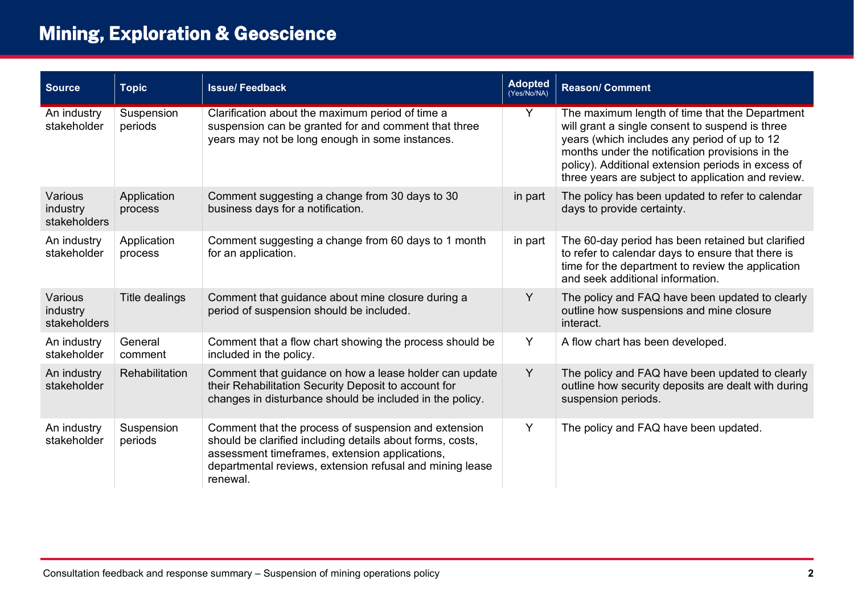| <b>Source</b>                       | <b>Topic</b>           | <b>Issue/Feedback</b>                                                                                                                                                                                                                       | <b>Adopted</b><br>(Yes/No/NA) | <b>Reason/Comment</b>                                                                                                                                                                                                                                                                                            |
|-------------------------------------|------------------------|---------------------------------------------------------------------------------------------------------------------------------------------------------------------------------------------------------------------------------------------|-------------------------------|------------------------------------------------------------------------------------------------------------------------------------------------------------------------------------------------------------------------------------------------------------------------------------------------------------------|
| An industry<br>stakeholder          | Suspension<br>periods  | Clarification about the maximum period of time a<br>suspension can be granted for and comment that three<br>years may not be long enough in some instances.                                                                                 | Y.                            | The maximum length of time that the Department<br>will grant a single consent to suspend is three<br>years (which includes any period of up to 12<br>months under the notification provisions in the<br>policy). Additional extension periods in excess of<br>three years are subject to application and review. |
| Various<br>industry<br>stakeholders | Application<br>process | Comment suggesting a change from 30 days to 30<br>business days for a notification.                                                                                                                                                         | in part                       | The policy has been updated to refer to calendar<br>days to provide certainty.                                                                                                                                                                                                                                   |
| An industry<br>stakeholder          | Application<br>process | Comment suggesting a change from 60 days to 1 month<br>for an application.                                                                                                                                                                  | in part                       | The 60-day period has been retained but clarified<br>to refer to calendar days to ensure that there is<br>time for the department to review the application<br>and seek additional information.                                                                                                                  |
| Various<br>industry<br>stakeholders | Title dealings         | Comment that guidance about mine closure during a<br>period of suspension should be included.                                                                                                                                               | Y                             | The policy and FAQ have been updated to clearly<br>outline how suspensions and mine closure<br>interact.                                                                                                                                                                                                         |
| An industry<br>stakeholder          | General<br>comment     | Comment that a flow chart showing the process should be<br>included in the policy.                                                                                                                                                          | Y                             | A flow chart has been developed.                                                                                                                                                                                                                                                                                 |
| An industry<br>stakeholder          | Rehabilitation         | Comment that guidance on how a lease holder can update<br>their Rehabilitation Security Deposit to account for<br>changes in disturbance should be included in the policy.                                                                  | Y                             | The policy and FAQ have been updated to clearly<br>outline how security deposits are dealt with during<br>suspension periods.                                                                                                                                                                                    |
| An industry<br>stakeholder          | Suspension<br>periods  | Comment that the process of suspension and extension<br>should be clarified including details about forms, costs,<br>assessment timeframes, extension applications,<br>departmental reviews, extension refusal and mining lease<br>renewal. | Y                             | The policy and FAQ have been updated.                                                                                                                                                                                                                                                                            |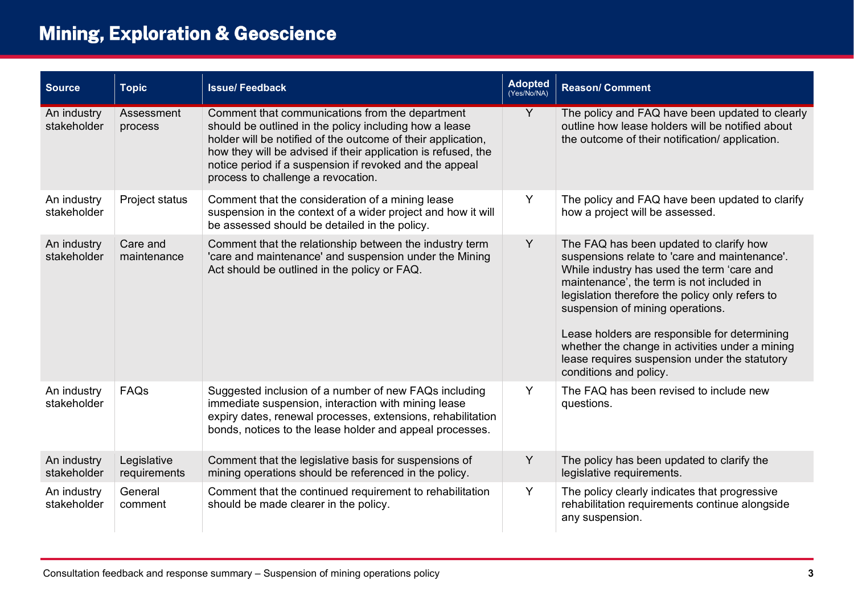| <b>Source</b>              | <b>Topic</b>                | <b>Issue/Feedback</b>                                                                                                                                                                                                                                                                                                                       | Adopted<br>(Yes/No/NA) | <b>Reason/Comment</b>                                                                                                                                                                                                                                                                                                                                                                                                                                     |
|----------------------------|-----------------------------|---------------------------------------------------------------------------------------------------------------------------------------------------------------------------------------------------------------------------------------------------------------------------------------------------------------------------------------------|------------------------|-----------------------------------------------------------------------------------------------------------------------------------------------------------------------------------------------------------------------------------------------------------------------------------------------------------------------------------------------------------------------------------------------------------------------------------------------------------|
| An industry<br>stakeholder | Assessment<br>process       | Comment that communications from the department<br>should be outlined in the policy including how a lease<br>holder will be notified of the outcome of their application,<br>how they will be advised if their application is refused, the<br>notice period if a suspension if revoked and the appeal<br>process to challenge a revocation. | $\overline{Y}$         | The policy and FAQ have been updated to clearly<br>outline how lease holders will be notified about<br>the outcome of their notification/application.                                                                                                                                                                                                                                                                                                     |
| An industry<br>stakeholder | Project status              | Comment that the consideration of a mining lease<br>suspension in the context of a wider project and how it will<br>be assessed should be detailed in the policy.                                                                                                                                                                           | Y                      | The policy and FAQ have been updated to clarify<br>how a project will be assessed.                                                                                                                                                                                                                                                                                                                                                                        |
| An industry<br>stakeholder | Care and<br>maintenance     | Comment that the relationship between the industry term<br>'care and maintenance' and suspension under the Mining<br>Act should be outlined in the policy or FAQ.                                                                                                                                                                           | Y                      | The FAQ has been updated to clarify how<br>suspensions relate to 'care and maintenance'.<br>While industry has used the term 'care and<br>maintenance', the term is not included in<br>legislation therefore the policy only refers to<br>suspension of mining operations.<br>Lease holders are responsible for determining<br>whether the change in activities under a mining<br>lease requires suspension under the statutory<br>conditions and policy. |
| An industry<br>stakeholder | FAQs                        | Suggested inclusion of a number of new FAQs including<br>immediate suspension, interaction with mining lease<br>expiry dates, renewal processes, extensions, rehabilitation<br>bonds, notices to the lease holder and appeal processes.                                                                                                     | Y                      | The FAQ has been revised to include new<br>questions.                                                                                                                                                                                                                                                                                                                                                                                                     |
| An industry<br>stakeholder | Legislative<br>requirements | Comment that the legislative basis for suspensions of<br>mining operations should be referenced in the policy.                                                                                                                                                                                                                              | Y                      | The policy has been updated to clarify the<br>legislative requirements.                                                                                                                                                                                                                                                                                                                                                                                   |
| An industry<br>stakeholder | General<br>comment          | Comment that the continued requirement to rehabilitation<br>should be made clearer in the policy.                                                                                                                                                                                                                                           | Y                      | The policy clearly indicates that progressive<br>rehabilitation requirements continue alongside<br>any suspension.                                                                                                                                                                                                                                                                                                                                        |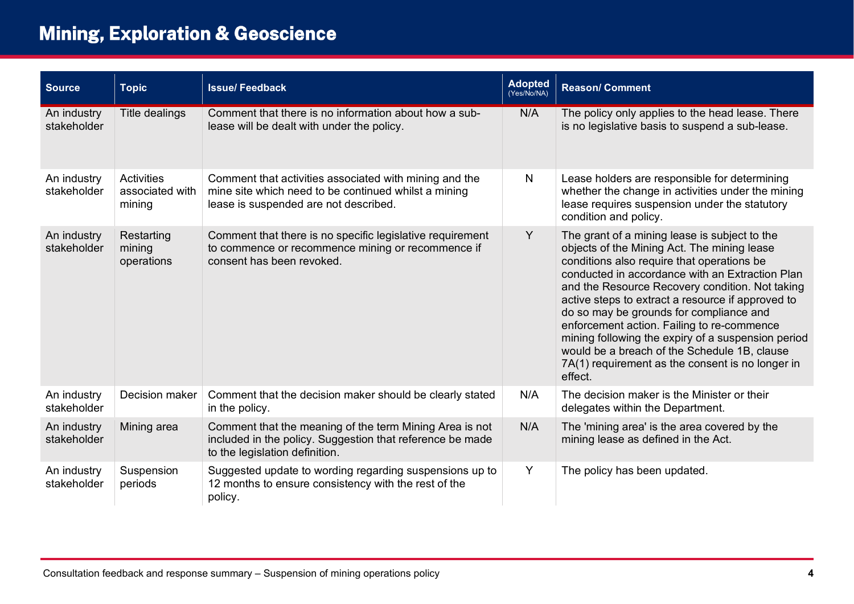| <b>Source</b>              | <b>Topic</b>                            | <b>Issue/Feedback</b>                                                                                                                                   | Adopted | <b>Reason/Comment</b>                                                                                                                                                                                                                                                                                                                                                                                                                                                                                                                                               |
|----------------------------|-----------------------------------------|---------------------------------------------------------------------------------------------------------------------------------------------------------|---------|---------------------------------------------------------------------------------------------------------------------------------------------------------------------------------------------------------------------------------------------------------------------------------------------------------------------------------------------------------------------------------------------------------------------------------------------------------------------------------------------------------------------------------------------------------------------|
| An industry<br>stakeholder | Title dealings                          | Comment that there is no information about how a sub-<br>lease will be dealt with under the policy.                                                     | N/A     | The policy only applies to the head lease. There<br>is no legislative basis to suspend a sub-lease.                                                                                                                                                                                                                                                                                                                                                                                                                                                                 |
| An industry<br>stakeholder | Activities<br>associated with<br>mining | Comment that activities associated with mining and the<br>mine site which need to be continued whilst a mining<br>lease is suspended are not described. | N       | Lease holders are responsible for determining<br>whether the change in activities under the mining<br>lease requires suspension under the statutory<br>condition and policy.                                                                                                                                                                                                                                                                                                                                                                                        |
| An industry<br>stakeholder | Restarting<br>mining<br>operations      | Comment that there is no specific legislative requirement<br>to commence or recommence mining or recommence if<br>consent has been revoked.             | Y       | The grant of a mining lease is subject to the<br>objects of the Mining Act. The mining lease<br>conditions also require that operations be<br>conducted in accordance with an Extraction Plan<br>and the Resource Recovery condition. Not taking<br>active steps to extract a resource if approved to<br>do so may be grounds for compliance and<br>enforcement action. Failing to re-commence<br>mining following the expiry of a suspension period<br>would be a breach of the Schedule 1B, clause<br>7A(1) requirement as the consent is no longer in<br>effect. |
| An industry<br>stakeholder | Decision maker                          | Comment that the decision maker should be clearly stated<br>in the policy.                                                                              | N/A     | The decision maker is the Minister or their<br>delegates within the Department.                                                                                                                                                                                                                                                                                                                                                                                                                                                                                     |
| An industry<br>stakeholder | Mining area                             | Comment that the meaning of the term Mining Area is not<br>included in the policy. Suggestion that reference be made<br>to the legislation definition.  | N/A     | The 'mining area' is the area covered by the<br>mining lease as defined in the Act.                                                                                                                                                                                                                                                                                                                                                                                                                                                                                 |
| An industry<br>stakeholder | Suspension<br>periods                   | Suggested update to wording regarding suspensions up to<br>12 months to ensure consistency with the rest of the<br>policy.                              | Y       | The policy has been updated.                                                                                                                                                                                                                                                                                                                                                                                                                                                                                                                                        |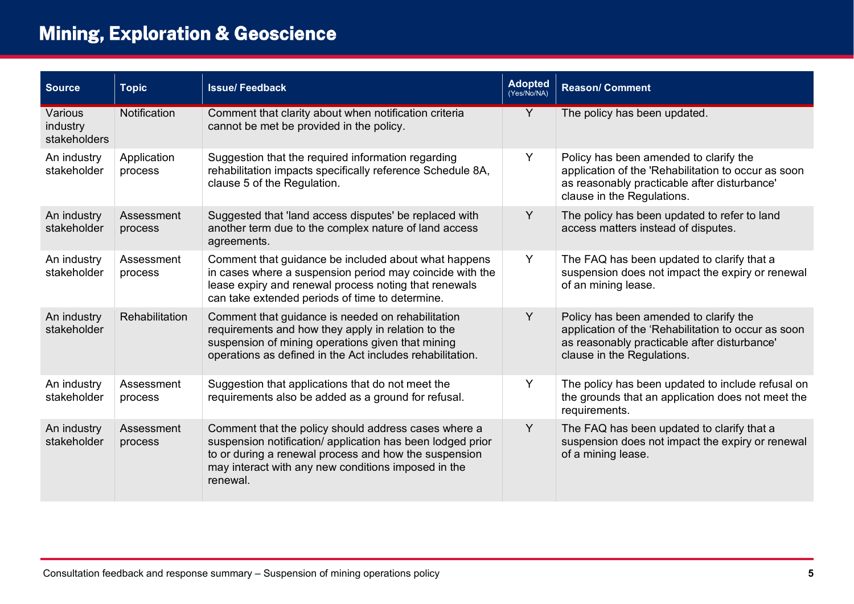| <b>Source</b>                       | <b>Topic</b>           | <b>Issue/Feedback</b>                                                                                                                                                                                                                          | <b>Adopted</b><br>(Yes/No/NA) | <b>Reason/Comment</b>                                                                                                                                                       |
|-------------------------------------|------------------------|------------------------------------------------------------------------------------------------------------------------------------------------------------------------------------------------------------------------------------------------|-------------------------------|-----------------------------------------------------------------------------------------------------------------------------------------------------------------------------|
| Various<br>industry<br>stakeholders | <b>Notification</b>    | Comment that clarity about when notification criteria<br>cannot be met be provided in the policy.                                                                                                                                              | Y                             | The policy has been updated.                                                                                                                                                |
| An industry<br>stakeholder          | Application<br>process | Suggestion that the required information regarding<br>rehabilitation impacts specifically reference Schedule 8A,<br>clause 5 of the Regulation.                                                                                                | Y                             | Policy has been amended to clarify the<br>application of the 'Rehabilitation to occur as soon<br>as reasonably practicable after disturbance'<br>clause in the Regulations. |
| An industry<br>stakeholder          | Assessment<br>process  | Suggested that 'land access disputes' be replaced with<br>another term due to the complex nature of land access<br>agreements.                                                                                                                 | Y                             | The policy has been updated to refer to land<br>access matters instead of disputes.                                                                                         |
| An industry<br>stakeholder          | Assessment<br>process  | Comment that guidance be included about what happens<br>in cases where a suspension period may coincide with the<br>lease expiry and renewal process noting that renewals<br>can take extended periods of time to determine.                   | Y                             | The FAQ has been updated to clarify that a<br>suspension does not impact the expiry or renewal<br>of an mining lease.                                                       |
| An industry<br>stakeholder          | Rehabilitation         | Comment that guidance is needed on rehabilitation<br>requirements and how they apply in relation to the<br>suspension of mining operations given that mining<br>operations as defined in the Act includes rehabilitation.                      | Y                             | Policy has been amended to clarify the<br>application of the 'Rehabilitation to occur as soon<br>as reasonably practicable after disturbance'<br>clause in the Regulations. |
| An industry<br>stakeholder          | Assessment<br>process  | Suggestion that applications that do not meet the<br>requirements also be added as a ground for refusal.                                                                                                                                       | Y                             | The policy has been updated to include refusal on<br>the grounds that an application does not meet the<br>requirements.                                                     |
| An industry<br>stakeholder          | Assessment<br>process  | Comment that the policy should address cases where a<br>suspension notification/ application has been lodged prior<br>to or during a renewal process and how the suspension<br>may interact with any new conditions imposed in the<br>renewal. | Y                             | The FAQ has been updated to clarify that a<br>suspension does not impact the expiry or renewal<br>of a mining lease.                                                        |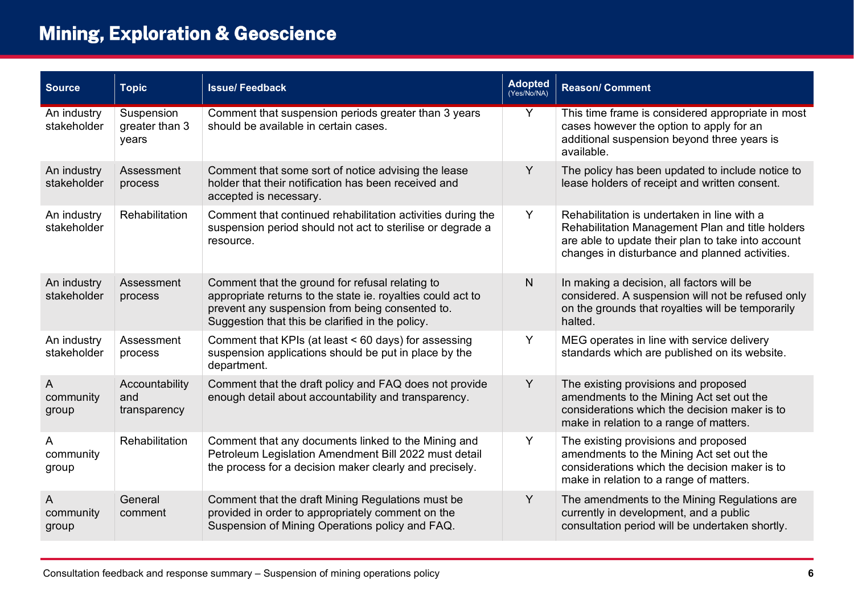| <b>Source</b>                      | <b>Topic</b>                          | <b>Issue/Feedback</b>                                                                                                                                                                                                 | <b>Adopted</b><br>(Yes/No/NA) | <b>Reason/Comment</b>                                                                                                                                                                                   |
|------------------------------------|---------------------------------------|-----------------------------------------------------------------------------------------------------------------------------------------------------------------------------------------------------------------------|-------------------------------|---------------------------------------------------------------------------------------------------------------------------------------------------------------------------------------------------------|
| An industry<br>stakeholder         | Suspension<br>greater than 3<br>years | Comment that suspension periods greater than 3 years<br>should be available in certain cases.                                                                                                                         | $\overline{Y}$                | This time frame is considered appropriate in most<br>cases however the option to apply for an<br>additional suspension beyond three years is<br>available.                                              |
| An industry<br>stakeholder         | Assessment<br>process                 | Comment that some sort of notice advising the lease<br>holder that their notification has been received and<br>accepted is necessary.                                                                                 | Y                             | The policy has been updated to include notice to<br>lease holders of receipt and written consent.                                                                                                       |
| An industry<br>stakeholder         | Rehabilitation                        | Comment that continued rehabilitation activities during the<br>suspension period should not act to sterilise or degrade a<br>resource.                                                                                | Y                             | Rehabilitation is undertaken in line with a<br>Rehabilitation Management Plan and title holders<br>are able to update their plan to take into account<br>changes in disturbance and planned activities. |
| An industry<br>stakeholder         | Assessment<br>process                 | Comment that the ground for refusal relating to<br>appropriate returns to the state ie. royalties could act to<br>prevent any suspension from being consented to.<br>Suggestion that this be clarified in the policy. | $\mathsf{N}$                  | In making a decision, all factors will be<br>considered. A suspension will not be refused only<br>on the grounds that royalties will be temporarily<br>halted.                                          |
| An industry<br>stakeholder         | Assessment<br>process                 | Comment that KPIs (at least < 60 days) for assessing<br>suspension applications should be put in place by the<br>department.                                                                                          | Y                             | MEG operates in line with service delivery<br>standards which are published on its website.                                                                                                             |
| A<br>community<br>group            | Accountability<br>and<br>transparency | Comment that the draft policy and FAQ does not provide<br>enough detail about accountability and transparency.                                                                                                        | Y                             | The existing provisions and proposed<br>amendments to the Mining Act set out the<br>considerations which the decision maker is to<br>make in relation to a range of matters.                            |
| A<br>community<br>group            | Rehabilitation                        | Comment that any documents linked to the Mining and<br>Petroleum Legislation Amendment Bill 2022 must detail<br>the process for a decision maker clearly and precisely.                                               | Y                             | The existing provisions and proposed<br>amendments to the Mining Act set out the<br>considerations which the decision maker is to<br>make in relation to a range of matters.                            |
| $\mathsf{A}$<br>community<br>group | General<br>comment                    | Comment that the draft Mining Regulations must be<br>provided in order to appropriately comment on the<br>Suspension of Mining Operations policy and FAQ.                                                             | Y                             | The amendments to the Mining Regulations are<br>currently in development, and a public<br>consultation period will be undertaken shortly.                                                               |